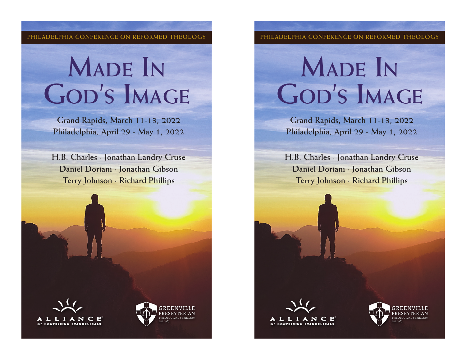**PHILADELPHIA CONFERENCE ON REFORMED THEOLOGY PHILADELPHIA CONFERENCE ON REFORMED THEOLOGY**

## **Made In God's Image**

**Grand Rapids, March 11-13, 2022 Philadelphia, April 29 - May 1, 2022**

**H.B. Charles · Jonathan Landry Cruse Daniel Doriani · Jonathan Gibson Terry Johnson · Richard Phillips**





## **Made In God's Image**

**Grand Rapids, March 11-13, 2022 Philadelphia, April 29 - May 1, 2022**

**H.B. Charles · Jonathan Landry Cruse Daniel Doriani · Jonathan Gibson Terry Johnson · Richard Phillips**